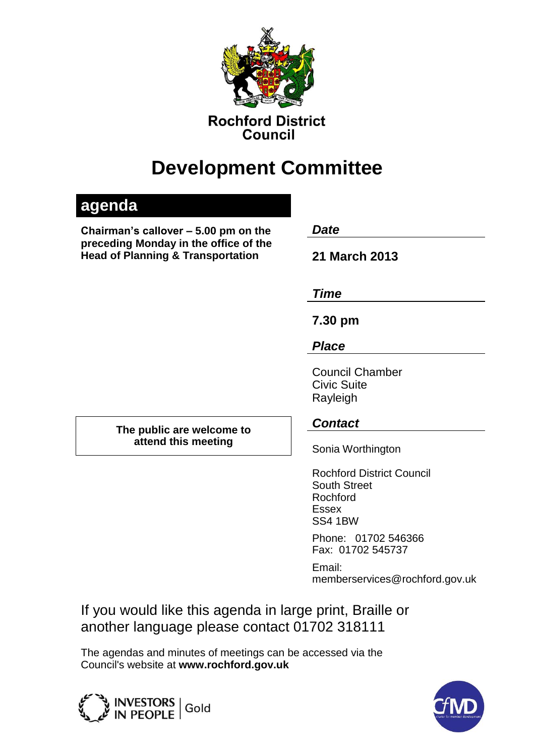

**Rochford District** Council

# **Development Committee**

# **agenda**

**Chairman's callover – 5.00 pm on the** *Date*  **preceding Monday in the office of the Head of Planning & Transportation 21 March 2013**

*Time*

**7.30 pm**

*Place*

Council Chamber Civic Suite Rayleigh

**The public are welcome to attend this meeting**

# *Contact*

Sonia Worthington

Rochford District Council South Street Rochford Essex SS4 1BW

Phone: 01702 546366 Fax: 01702 545737

Email: memberservices@rochford.gov.uk

If you would like this agenda in large print, Braille or another language please contact 01702 318111

The agendas and minutes of meetings can be accessed via the Council's website at **[www.rochford.gov.uk](http://www.rochford.gov.uk/)**



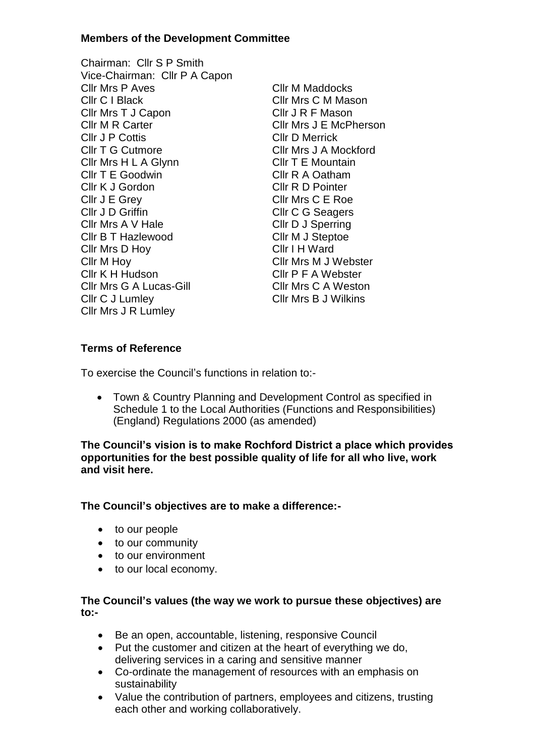#### **Members of the Development Committee**

- Chairman: Cllr S P Smith Vice-Chairman: Cllr P A Capon Cllr Mrs P Aves Cllr M Maddocks Cllr C I Black Cllr Mrs C M Mason Cllr Mrs T J Capon Cllr J R F Mason Cllr M R Carter Cllr Mrs J E McPherson Cllr J P Cottis Cllr D Merrick Cllr T G Cutmore Cllr Mrs J A Mockford Cllr Mrs H L A Glynn Cllr T E Mountain Cllr T E Goodwin Cllr R A Oatham Cllr K J Gordon Cllr R D Pointer Cllr J E Grey Cllr Mrs C E Roe Cllr J D Griffin Cllr C G Seagers Cllr Mrs A V Hale Cllr D J Sperring Cllr B T Hazlewood Cllr M J Steptoe Cllr Mrs D Hoy Cllr I H Ward Cllr M Hoy<br>
Cllr K H Hudson<br>
Cllr F A Webster Cllr Mrs G A Lucas-Gill Cllr Mrs C A Weston Cllr C J Lumley Cllr Mrs B J Wilkins Cllr Mrs J R Lumley
	- Cllr P F A Webster

#### **Terms of Reference**

To exercise the Council's functions in relation to:-

 Town & Country Planning and Development Control as specified in Schedule 1 to the Local Authorities (Functions and Responsibilities) (England) Regulations 2000 (as amended)

**The Council's vision is to make Rochford District a place which provides opportunities for the best possible quality of life for all who live, work and visit here.** 

#### **The Council's objectives are to make a difference:-**

- to our people
- to our community
- to our environment
- to our local economy.

#### **The Council's values (the way we work to pursue these objectives) are to:-**

- Be an open, accountable, listening, responsive Council
- Put the customer and citizen at the heart of everything we do, delivering services in a caring and sensitive manner
- Co-ordinate the management of resources with an emphasis on sustainability
- Value the contribution of partners, employees and citizens, trusting each other and working collaboratively.